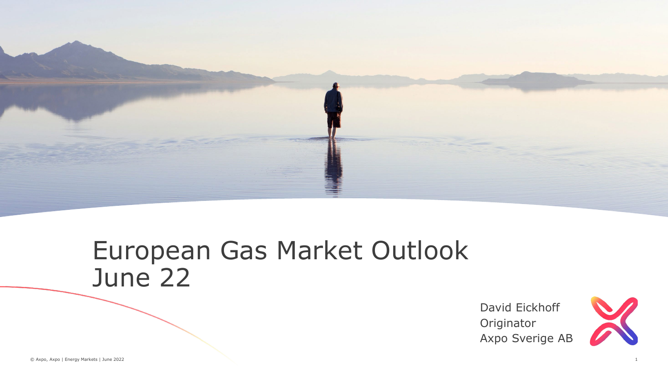

### European Gas Market Outlook June 22

David Eickhoff **Originator** Axpo Sverige AB

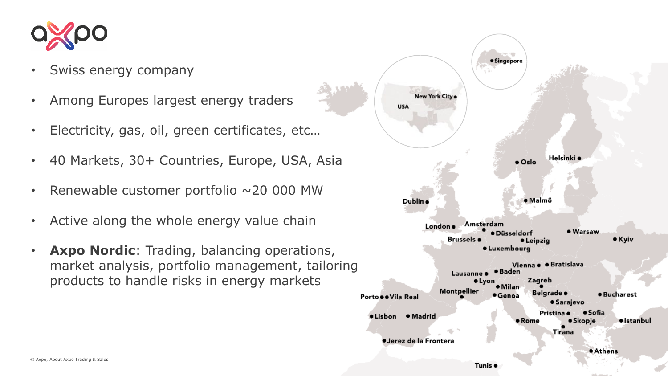

- Swiss energy company
- Among Europes largest energy traders
- Electricity, gas, oil, green certificates, etc…
- 40 Markets, 30+ Countries, Europe, USA, Asia
- Renewable customer portfolio  $\sim$  20 000 MW
- Active along the whole energy value chain
- **Axpo Nordic**: Trading, balancing operations, market analysis, portfolio management, tailoring products to handle risks in energy markets

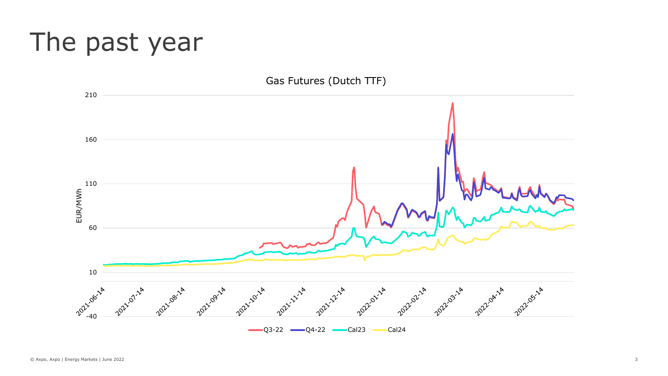## The past year

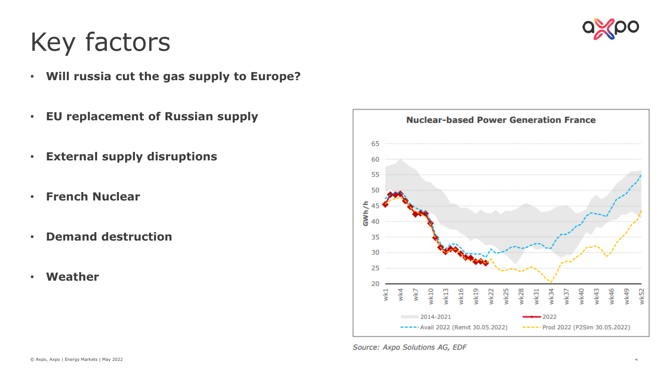

# Key factors

- **Will russia cut the gas supply to Europe?**
- **EU replacement of Russian supply**
- **External supply disruptions**
- **French Nuclear**
- **Demand destruction**
- **Weather**



Source: Axpo Solutions AG, EDF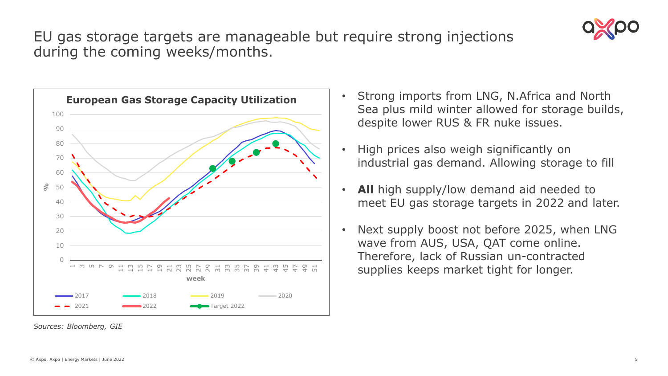

### EU gas storage targets are manageable but require strong injections during the coming weeks/months.



*Sources: Bloomberg, GIE*

- Strong imports from LNG, N.Africa and North Sea plus mild winter allowed for storage builds, despite lower RUS & FR nuke issues.
- High prices also weigh significantly on industrial gas demand. Allowing storage to fill
- All high supply/low demand aid needed to meet EU gas storage targets in 2022 and later.
- Next supply boost not before 2025, when LNG wave from AUS, USA, QAT come online. Therefore, lack of Russian un-contracted supplies keeps market tight for longer.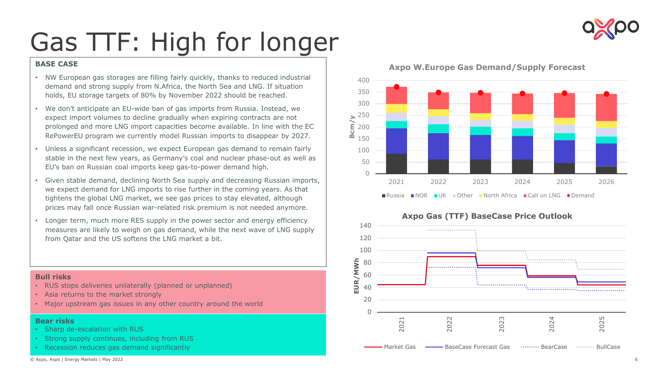

# Gas TTF: High for longer

### **BASE CASE**

- NW European gas storages are filling fairly quickly, thanks to reduced industrial demand and strong supply from N.Africa, the North Sea and LNG. If situation holds, EU storage targets of 80% by November 2022 should be reached.
- We don't anticipate an EU-wide ban of gas imports from Russia. Instead, we expect import volumes to decline gradually when expiring contracts are not prolonged and more LNG import capacities become available. In line with the EC RePowerEU program we currently model Russian imports to disappear by 2027.
- Unless a significant recession, we expect European gas demand to remain fairly stable in the next few years, as Germany's coal and nuclear phase-out as well as EU's ban on Russian coal imports keep gas-to-power demand high.
- Given stable demand, declining North Sea supply and decreasing Russian imports, we expect demand for LNG imports to rise further in the coming years. As that tightens the global LNG market, we see gas prices to stay elevated, although prices may fall once Russian war-related risk premium is not needed anymore.
- Longer term, much more RES supply in the power sector and energy efficiency measures are likely to weigh on gas demand, while the next wave of LNG supply from Qatar and the US softens the LNG market a bit.

#### **Bull risks**

- RUS stops deliveries unilaterally (planned or unplanned)
- Asia returns to the market strongly
- Major upstream gas issues in any other country around the world

#### **Bear risks**

- Sharp de-escalation with RUS
- Strong supply continues, including from RUS
- Recession reduces gas demand significantly



### **Axpo W.Europe Gas Demand/Supply Forecast**